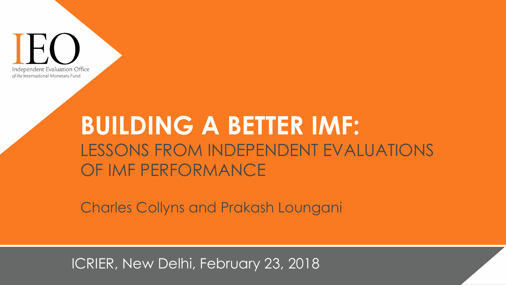

# **BUILDING A BETTER IMF:** LESSONS FROM INDEPENDENT EVALUATIONS OF IMF PERFORMANCE

Charles Collyns and Prakash Loungani

ICRIER, New Delhi, February 23, 2018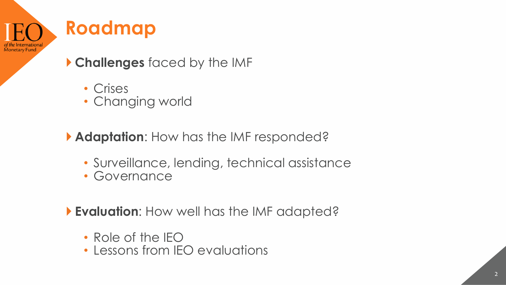## **Roadmap**

Monetary Fund

**Challenges** faced by the IMF

- Crises
- Changing world

**Adaptation**: How has the IMF responded?

- Surveillance, lending, technical assistance
- Governance

**Evaluation**: How well has the IMF adapted?

- Role of the IEO
- Lessons from IEO evaluations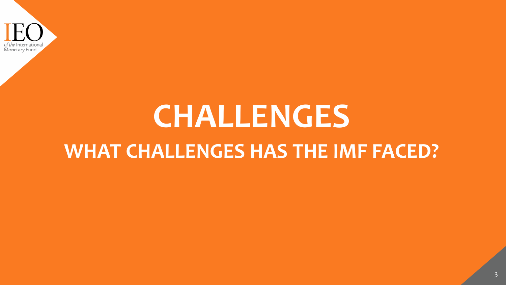

# **CHALLENGES WHAT CHALLENGES HAS THE IMF FACED?**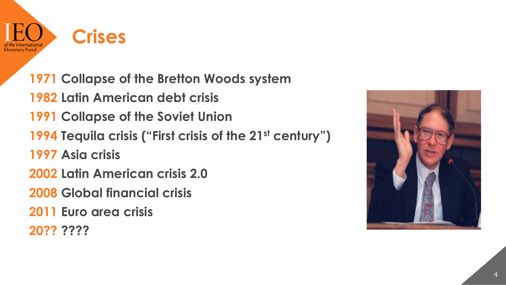

**1971 Collapse of the Bretton Woods system Latin American debt crisis 1991 Collapse of the Soviet Union Tequila crisis ("First crisis of the 21st century") Asia crisis Latin American crisis 2.0 Global financial crisis Euro area crisis 20?? ????**

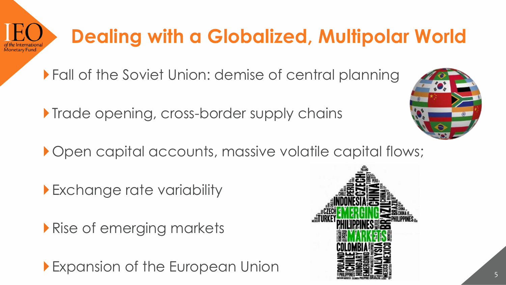# **Dealing with a Globalized, Multipolar World**

Fall of the Soviet Union: demise of central planning

**Trade opening, cross-border supply chains** 

Open capital accounts, massive volatile capital flows;

Exchange rate variability

Rise of emerging markets

Expansion of the European Union



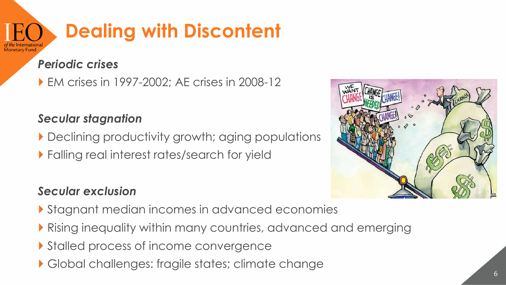### **Dealing with Discontent** Monetary Fund

#### *Periodic crises*

EM crises in 1997-2002; AE crises in 2008-12

#### *Secular stagnation*

- Declining productivity growth; aging populations
- **Falling real interest rates/search for yield**



#### *Secular exclusion*

- Stagnant median incomes in advanced economies
- Rising inequality within many countries, advanced and emerging
- Stalled process of income convergence
- Global challenges: fragile states; climate change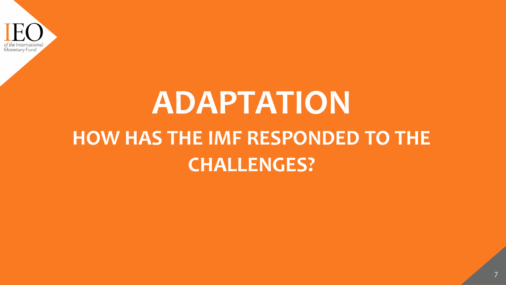

# **ADAPTATION HOW HAS THE IMF RESPONDED TO THE CHALLENGES?**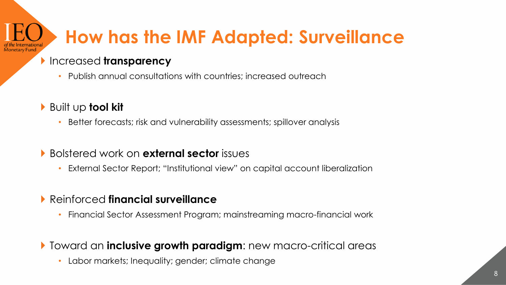# **How has the IMF Adapted: Surveillance**

#### Increased **transparency**

- Publish annual consultations with countries; increased outreach
- Built up **tool kit**

*A*onetary Fund

- Better forecasts; risk and vulnerability assessments; spillover analysis
- Bolstered work on **external sector** issues
	- External Sector Report; "Institutional view" on capital account liberalization
- Reinforced **financial surveillance**
	- Financial Sector Assessment Program; mainstreaming macro-financial work
- Toward an **inclusive growth paradigm**: new macro-critical areas
	- Labor markets; Inequality; gender; climate change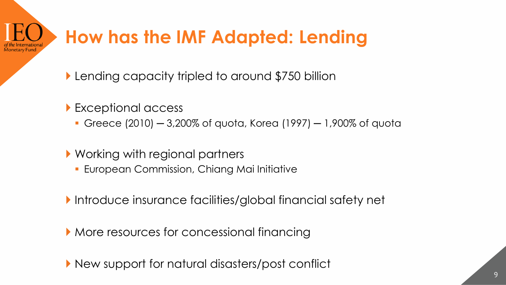# **How has the IMF Adapted: Lending**

- **Lending capacity tripled to around \$750 billion**
- ▶ Exceptional access
	- Greece (2010) 3,200% of quota, Korea (1997) 1,900% of quota
- ▶ Working with regional partners
	- **European Commission, Chiang Mai Initiative**
- Introduce insurance facilities/global financial safety net
- More resources for concessional financing
- New support for natural disasters/post conflict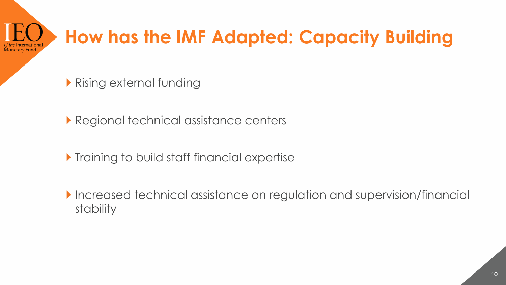### **How has the IMF Adapted: Capacity Building** Monetary Fund

- Rising external funding
- **Regional technical assistance centers**
- **Training to build staff financial expertise**
- Increased technical assistance on regulation and supervision/financial stability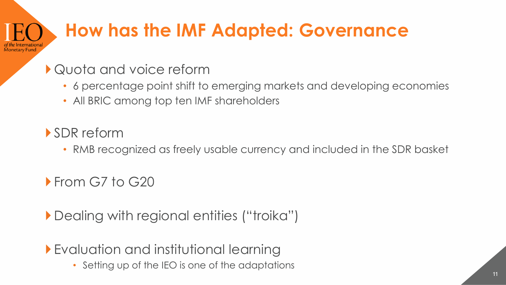# **How has the IMF Adapted: Governance**

### Quota and voice reform

- 6 percentage point shift to emerging markets and developing economies
- All BRIC among top ten IMF shareholders

### SDR reform

Monetary Fund

• RMB recognized as freely usable currency and included in the SDR basket

**From G7 to G20** 

Dealing with regional entities ("troika")

Evaluation and institutional learning

• Setting up of the IEO is one of the adaptations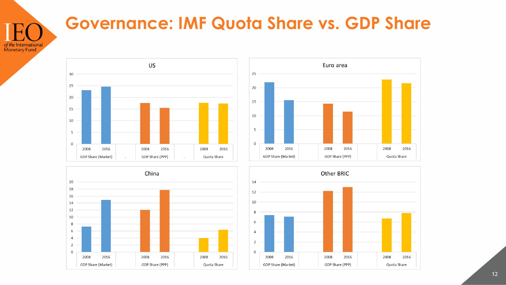

### **Governance: IMF Quota Share vs. GDP Share**







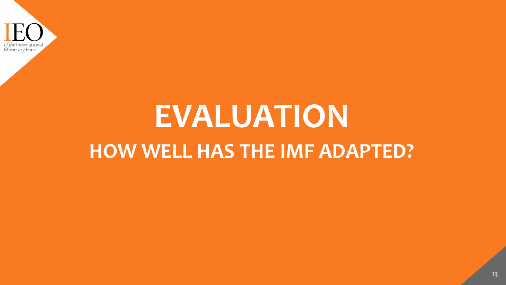

# **EVALUATION HOW WELL HAS THE IMF ADAPTED?**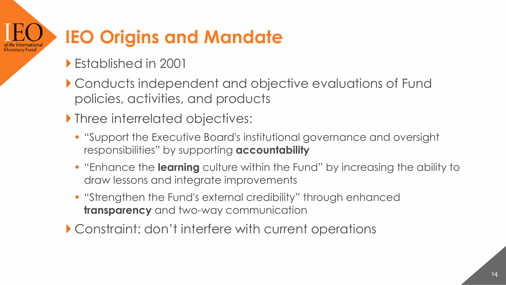#### **IEO Origins and Mandate** Monetary Fund

- Established in 2001
- Conducts independent and objective evaluations of Fund policies, activities, and products
- **Inree interrelated objectives:** 
	- "Support the Executive Board's institutional governance and oversight responsibilities" by supporting **accountability**
	- "Enhance the **learning** culture within the Fund" by increasing the ability to draw lessons and integrate improvements
	- "Strengthen the Fund's external credibility" through enhanced **transparency** and two-way communication
- Constraint: don't interfere with current operations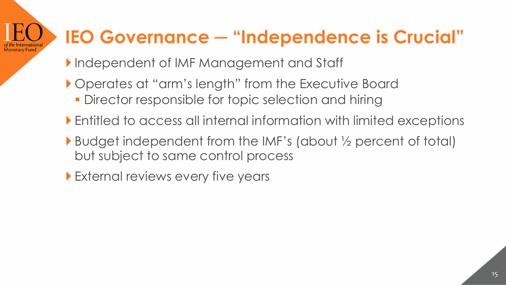#### **IEO Governance ─ "Independence is Crucial" Monetary Fund**

- Independent of IMF Management and Staff
- Operates at "arm's length" from the Executive Board
	- **Director responsible for topic selection and hiring**
- Entitled to access all internal information with limited exceptions
- Budget independent from the IMF's (about ½ percent of total) but subject to same control process
- **External reviews every five years**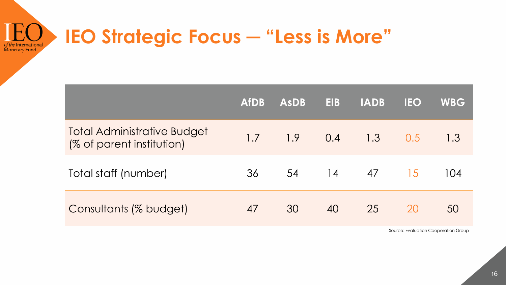#### **IEO Strategic Focus ─ "Less is More"** of the International Monetary Fund

|                                                                 | <b>AfDB</b> | <b>AsDB</b> | <b>EIB</b> | <b>IADB</b> | <b>IEO</b> | <b>WBG</b> |
|-----------------------------------------------------------------|-------------|-------------|------------|-------------|------------|------------|
| <b>Total Administrative Budget</b><br>(% of parent institution) | 1.7         | 1.9         | 0.4        | 1.3         | 0.5        | 1.3        |
| Total staff (number)                                            | 36          | 54          | 14         | 47          | 15         | 104        |
| Consultants (% budget)                                          | 47          | 30          | 40         | 25          | <b>20</b>  | 50         |
|                                                                 |             |             |            |             |            |            |

Source: Evaluation Cooperation Group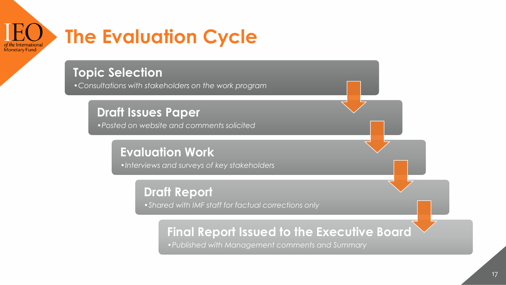

#### **Topic Selection**

•*Consultations with stakeholders on the work program*

#### **Draft Issues Paper**

•*Posted on website and comments solicited*

#### **Evaluation Work**

•*Interviews and surveys of key stakeholders*

#### **Draft Report** •*Shared with IMF staff for factual corrections only*

#### **Final Report Issued to the Executive Board**

•*Published with Management comments and Summary*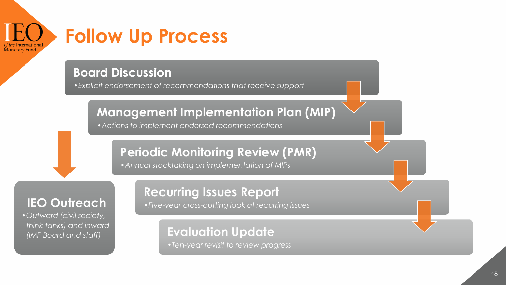

## **Follow Up Process**

#### **Board Discussion**

•*Explicit endorsement of recommendations that receive support*

#### **Management Implementation Plan (MIP)**

•*Actions to implement endorsed recommendations*

#### **Periodic Monitoring Review (PMR)**

•*Annual stocktaking on implementation of MIPs*

#### **IEO Outreach**

•*Outward (civil society, think tanks) and inward (IMF Board and staff)*

#### **Recurring Issues Report**

•*Five-year cross-cutting look at recurring issues*

#### **Evaluation Update**

•*Ten-year revisit to review progress*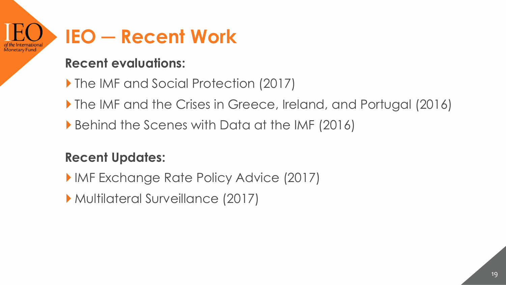

#### **Recent evaluations:**

- ▶ The IMF and Social Protection (2017)
- The IMF and the Crises in Greece, Ireland, and Portugal (2016)
- Behind the Scenes with Data at the IMF (2016)

#### **Recent Updates:**

- **IMF Exchange Rate Policy Advice (2017)**
- Multilateral Surveillance (2017)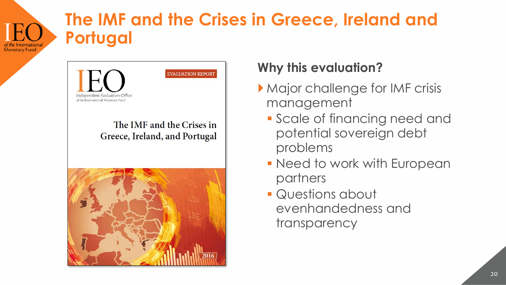## **The IMF and the Crises in Greece, Ireland and Portugal**



**Monetary Fund** 

#### **Why this evaluation?**

- Major challenge for IMF crisis management
	- Scale of financing need and potential sovereign debt problems
	- **Need to work with European** partners
	- **Questions about** evenhandedness and transparency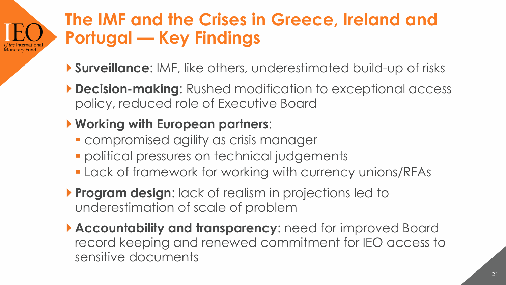## **The IMF and the Crises in Greece, Ireland and Portugal — Key Findings**

- **Surveillance**: IMF, like others, underestimated build-up of risks
- **Decision-making**: Rushed modification to exceptional access policy, reduced role of Executive Board

### **Working with European partners**:

Monetary Fund

- **Exampromised agility as crisis manager**
- **political pressures on technical judgements**
- Lack of framework for working with currency unions/RFAs
- **Program design:** lack of realism in projections led to underestimation of scale of problem
- **Accountability and transparency**: need for improved Board record keeping and renewed commitment for IEO access to sensitive documents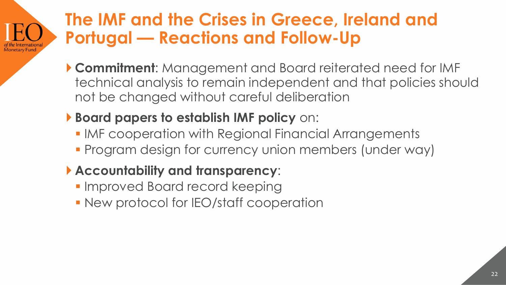#### **The IMF and the Crises in Greece, Ireland and Portugal — Reactions and Follow-Up** Monetary Fund

 **Commitment**: Management and Board reiterated need for IMF technical analysis to remain independent and that policies should not be changed without careful deliberation

### **Board papers to establish IMF policy** on:

- **IMF cooperation with Regional Financial Arrangements**
- **Program design for currency union members (under way)**

### **Accountability and transparency**:

- **Improved Board record keeping**
- **New protocol for IEO/staff cooperation**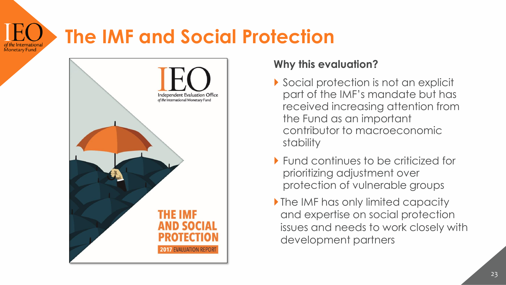#### **The IMF and Social Protection Monetary Fund**



#### **Why this evaluation?**

- Social protection is not an explicit part of the IMF's mandate but has received increasing attention from the Fund as an important contributor to macroeconomic stability
- ▶ Fund continues to be criticized for prioritizing adjustment over protection of vulnerable groups
- If the IMF has only limited capacity and expertise on social protection issues and needs to work closely with development partners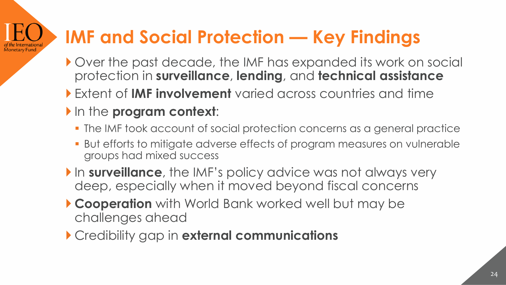# **IMF and Social Protection — Key Findings**

- Over the past decade, the IMF has expanded its work on social protection in **surveillance**, **lending**, and **technical assistance**
- Extent of **IMF involvement** varied across countries and time
- In the **program context:**

Monetary Fund

- The IMF took account of social protection concerns as a general practice
- But efforts to mitigate adverse effects of program measures on vulnerable groups had mixed success
- In **surveillance**, the IMF's policy advice was not always very deep, especially when it moved beyond fiscal concerns
- **Cooperation** with World Bank worked well but may be challenges ahead
- Credibility gap in **external communications**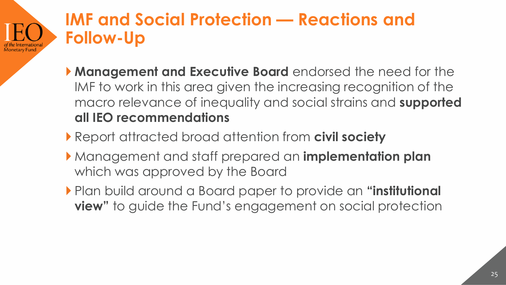## **IMF and Social Protection — Reactions and Follow-Up**

.<br>Monetary Fund

- **Management and Executive Board** endorsed the need for the IMF to work in this area given the increasing recognition of the macro relevance of inequality and social strains and **supported all IEO recommendations**
- Report attracted broad attention from **civil society**
- Management and staff prepared an **implementation plan**  which was approved by the Board
- Plan build around a Board paper to provide an **"institutional view"** to guide the Fund's engagement on social protection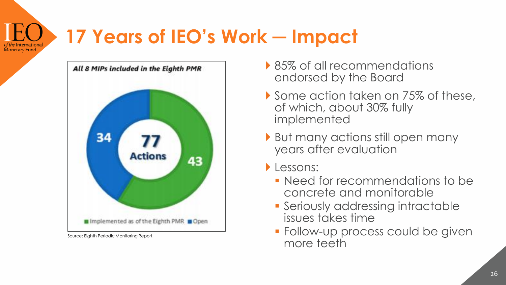# **17 Years of IEO's Work ─ Impact**



Source: Eighth Periodic Monitoring Report.

**Monetary Fund** 

- ▶ 85% of all recommendations endorsed by the Board
- Some action taken on 75% of these, of which, about 30% fully implemented
- But many actions still open many years after evaluation
- **Lessons:** 
	- Need for recommendations to be concrete and monitorable
	- **Seriously addressing intractable** issues takes time
	- **Follow-up process could be given** more teeth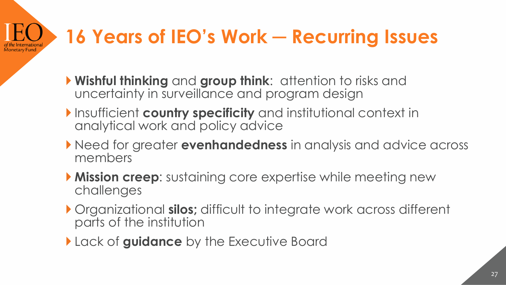#### **16 Years of IEO's Work ─ Recurring Issues** .<br>Monetarv Fund

- **Wishful thinking** and **group think**: attention to risks and uncertainty in surveillance and program design
- **Insufficient country specificity** and institutional context in analytical work and policy advice
- Need for greater **evenhandedness** in analysis and advice across members
- **Mission creep**: sustaining core expertise while meeting new challenges
- Organizational **silos;** difficult to integrate work across different parts of the institution
- Lack of **guidance** by the Executive Board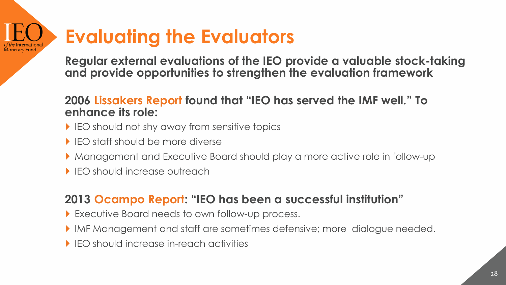#### **Evaluating the Evaluators** Monetary Fund

**Regular external evaluations of the IEO provide a valuable stock-taking and provide opportunities to strengthen the evaluation framework**

#### **2006 Lissakers Report found that "IEO has served the IMF well." To enhance its role:**

- IFO should not shy away from sensitive topics
- **IFO staff should be more diverse**
- Management and Executive Board should play a more active role in follow-up
- ▶ IEO should increase outreach

#### **2013 Ocampo Report: "IEO has been a successful institution"**

- Executive Board needs to own follow-up process.
- IMF Management and staff are sometimes defensive; more dialogue needed.
- IEO should increase in-reach activities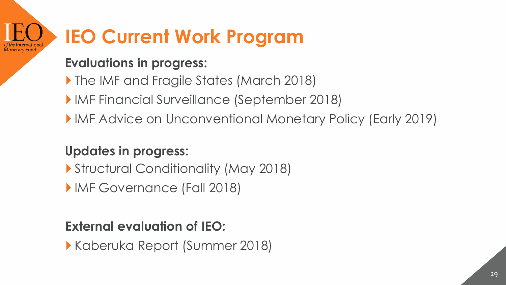### **IEO Current Work Program** Monetary Fund

#### **Evaluations in progress:**

- The IMF and Fragile States (March 2018)
- IMF Financial Surveillance (September 2018)
- IMF Advice on Unconventional Monetary Policy (Early 2019)

### **Updates in progress:**

- Structural Conditionality (May 2018)
- **IMF Governance (Fall 2018)**

### **External evaluation of IEO:**

Kaberuka Report (Summer 2018)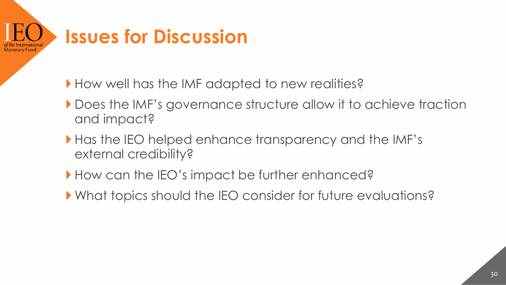

How well has the IMF adapted to new realities?

- Does the IMF's governance structure allow it to achieve traction and impact?
- Has the IEO helped enhance transparency and the IMF's external credibility?
- How can the IEO's impact be further enhanced?
- What topics should the IEO consider for future evaluations?